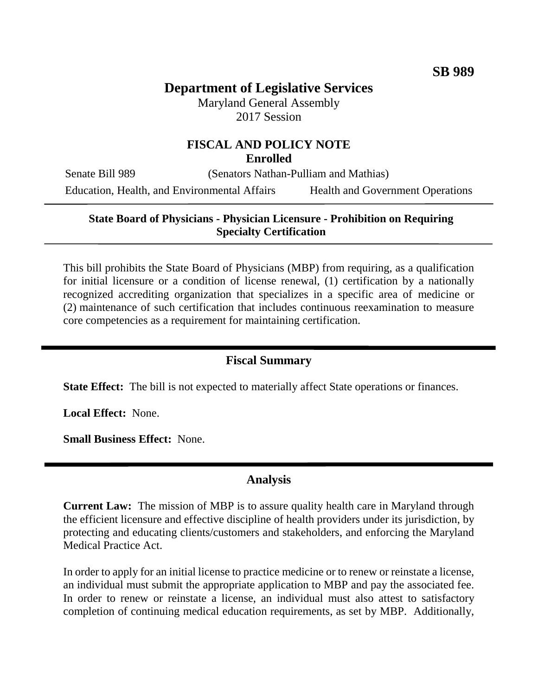# **Department of Legislative Services**

Maryland General Assembly 2017 Session

#### **FISCAL AND POLICY NOTE Enrolled**

Senate Bill 989 (Senators Nathan-Pulliam and Mathias) Education, Health, and Environmental Affairs Health and Government Operations

#### **State Board of Physicians - Physician Licensure - Prohibition on Requiring Specialty Certification**

This bill prohibits the State Board of Physicians (MBP) from requiring, as a qualification for initial licensure or a condition of license renewal, (1) certification by a nationally recognized accrediting organization that specializes in a specific area of medicine or (2) maintenance of such certification that includes continuous reexamination to measure core competencies as a requirement for maintaining certification.

## **Fiscal Summary**

**State Effect:** The bill is not expected to materially affect State operations or finances.

**Local Effect:** None.

**Small Business Effect:** None.

### **Analysis**

**Current Law:** The mission of MBP is to assure quality health care in Maryland through the efficient licensure and effective discipline of health providers under its jurisdiction, by protecting and educating clients/customers and stakeholders, and enforcing the Maryland Medical Practice Act.

In order to apply for an initial license to practice medicine or to renew or reinstate a license, an individual must submit the appropriate application to MBP and pay the associated fee. In order to renew or reinstate a license, an individual must also attest to satisfactory completion of continuing medical education requirements, as set by MBP. Additionally,